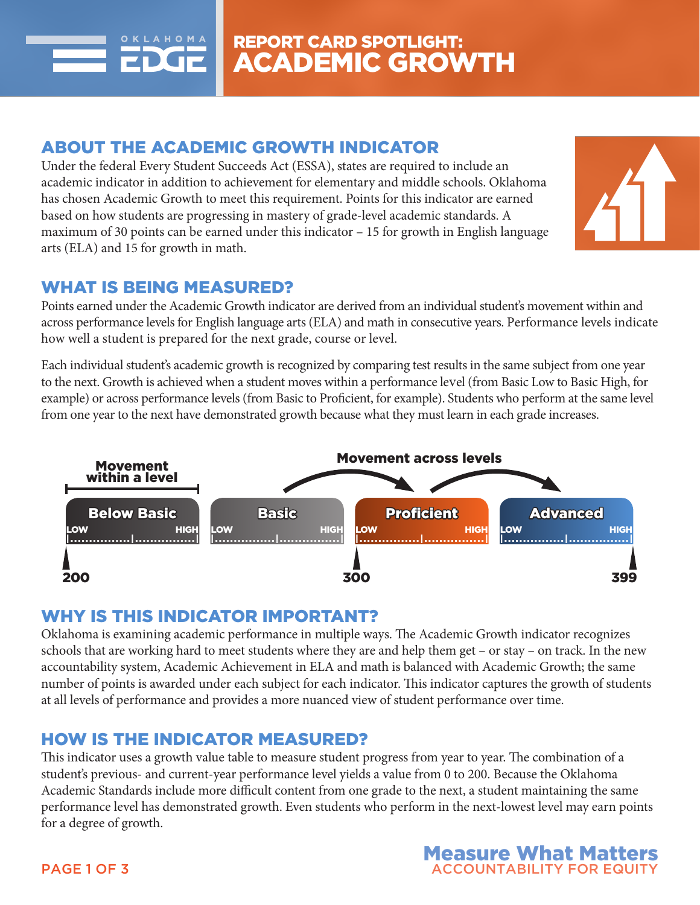

### ABOUT THE ACADEMIC GROWTH INDICATOR

Under the federal Every Student Succeeds Act (ESSA), states are required to include an academic indicator in addition to achievement for elementary and middle schools. Oklahoma has chosen Academic Growth to meet this requirement. Points for this indicator are earned based on how students are progressing in mastery of grade-level academic standards. A maximum of 30 points can be earned under this indicator – 15 for growth in English language arts (ELA) and 15 for growth in math.



### WHAT IS BEING MEASURED?

Points earned under the Academic Growth indicator are derived from an individual student's movement within and across performance levels for English language arts (ELA) and math in consecutive years. Performance levels indicate how well a student is prepared for the next grade, course or level.

Each individual student's academic growth is recognized by comparing test results in the same subject from one year to the next. Growth is achieved when a student moves within a performance level (from Basic Low to Basic High, for example) or across performance levels (from Basic to Proficient, for example). Students who perform at the same level from one year to the next have demonstrated growth because what they must learn in each grade increases.



## WHY IS THIS INDICATOR IMPORTANT?

Oklahoma is examining academic performance in multiple ways. The Academic Growth indicator recognizes schools that are working hard to meet students where they are and help them get – or stay – on track. In the new accountability system, Academic Achievement in ELA and math is balanced with Academic Growth; the same number of points is awarded under each subject for each indicator. This indicator captures the growth of students at all levels of performance and provides a more nuanced view of student performance over time.

# HOW IS THE INDICATOR MEASURED?

This indicator uses a growth value table to measure student progress from year to year. The combination of a student's previous- and current-year performance level yields a value from 0 to 200. Because the Oklahoma Academic Standards include more difficult content from one grade to the next, a student maintaining the same performance level has demonstrated growth. Even students who perform in the next-lowest level may earn points for a degree of growth.

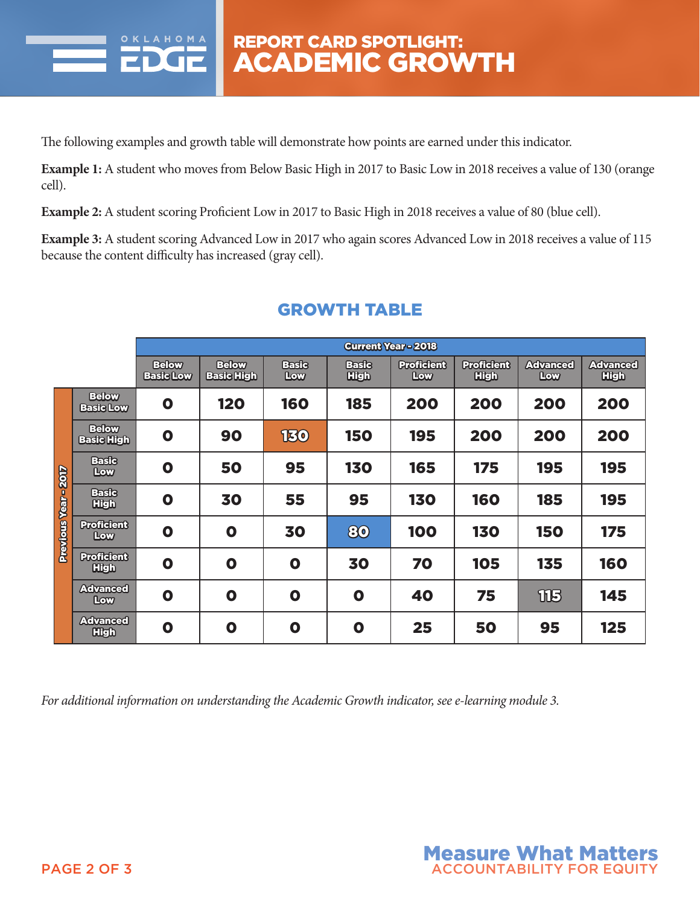

The following examples and growth table will demonstrate how points are earned under this indicator.

**Example 1:** A student who moves from Below Basic High in 2017 to Basic Low in 2018 receives a value of 130 (orange cell).

**Example 2:** A student scoring Proficient Low in 2017 to Basic High in 2018 receives a value of 80 (blue cell).

**Example 3:** A student scoring Advanced Low in 2017 who again scores Advanced Low in 2018 receives a value of 115 because the content difficulty has increased (gray cell).

|                           |                                   | <b>Current Year - 2018</b>       |                                   |                     |                             |                          |                                  |                        |                                |
|---------------------------|-----------------------------------|----------------------------------|-----------------------------------|---------------------|-----------------------------|--------------------------|----------------------------------|------------------------|--------------------------------|
|                           |                                   | <b>Below</b><br><b>Basic Low</b> | <b>Below</b><br><b>Basic High</b> | <b>Baste</b><br>Low | <b>Baste</b><br><b>High</b> | <b>Proficient</b><br>Low | <b>Proficient</b><br><b>High</b> | <b>Advanced</b><br>Low | <b>Advanced</b><br><b>High</b> |
| <b>Previous Year-2017</b> | <b>Below</b><br><b>Basic Low</b>  | O                                | <b>120</b>                        | <b>160</b>          | 185                         | 200                      | 200                              | 200                    | 200                            |
|                           | <b>Below</b><br><b>Basic High</b> | O                                | 90                                | <b>130</b>          | <b>150</b>                  | 195                      | 200                              | 200                    | 200                            |
|                           | <b>Basic</b><br>Low               | O                                | 50                                | 95                  | <b>130</b>                  | 165                      | 175                              | 195                    | 195                            |
|                           | <b>Basic</b><br><b>High</b>       | $\mathbf{o}$                     | 30                                | 55                  | 95                          | 130                      | <b>160</b>                       | 185                    | 195                            |
|                           | <b>Proficient</b><br>Low          | $\mathbf 0$                      | $\mathbf{o}$                      | 30                  | 80                          | <b>100</b>               | <b>130</b>                       | <b>150</b>             | 175                            |
|                           | <b>Proficient</b><br><b>High</b>  | $\mathbf{o}$                     | $\mathbf{o}$                      | $\mathbf{o}$        | 30                          | 70                       | <b>105</b>                       | 135                    | <b>160</b>                     |
|                           | <b>Advanced</b><br>Low            | $\mathbf{o}$                     | $\mathbf{o}$                      | $\mathbf 0$         | $\mathbf{o}$                | 40                       | 75                               | THE                    | 145                            |
|                           | <b>Advanced</b><br><b>High</b>    | $\mathbf 0$                      | $\mathbf 0$                       | $\mathbf 0$         | $\mathbf 0$                 | 25                       | 50                               | 95                     | 125                            |

## GROWTH TABLE

*For additional information on understanding the Academic Growth indicator, see e-learning module 3.*